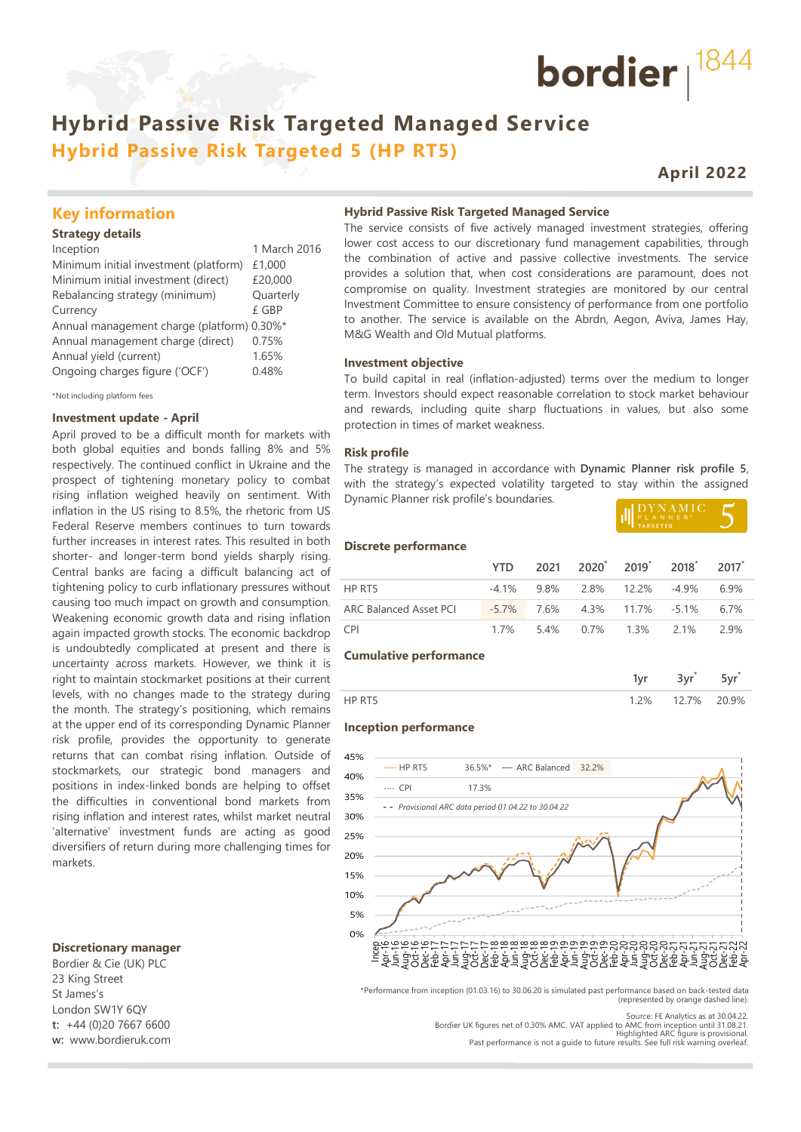# **Hybrid Passive Risk Targeted Managed Service Hybrid Passive Risk Targeted 5 (HP RT5)**

## **April 2022**

bordier  $1844$ 

### **Key information**

#### **Strategy details**

Inception 1 March 2016 Minimum initial investment (platform) £1,000 Minimum initial investment (direct) £20,000 Rebalancing strategy (minimum) Quarterly Currency £ GBP Annual management charge (platform) 0.30%\* Annual management charge (direct) 0.75% Annual yield (current) 1.65% Ongoing charges figure ('OCF') 0.48%

\*Not including platform fees

#### **Investment update - April**

April proved to be a difficult month for markets with both global equities and bonds falling 8% and 5% respectively. The continued conflict in Ukraine and the prospect of tightening monetary policy to combat rising inflation weighed heavily on sentiment. With inflation in the US rising to 8.5%, the rhetoric from US Federal Reserve members continues to turn towards further increases in interest rates. This resulted in both shorter- and longer-term bond yields sharply rising. Central banks are facing a difficult balancing act of tightening policy to curb inflationary pressures without causing too much impact on growth and consumption. Weakening economic growth data and rising inflation again impacted growth stocks. The economic backdrop is undoubtedly complicated at present and there is uncertainty across markets. However, we think it is right to maintain stockmarket positions at their current levels, with no changes made to the strategy during the month. The strategy's positioning, which remains at the upper end of its corresponding Dynamic Planner risk profile, provides the opportunity to generate returns that can combat rising inflation. Outside of stockmarkets, our strategic bond managers and positions in index-linked bonds are helping to offset the difficulties in conventional bond markets from rising inflation and interest rates, whilst market neutral 'alternative' investment funds are acting as good diversifiers of return during more challenging times for markets.

#### **Discretionary manager**

Bordier & Cie (UK) PLC 23 King Street St James's London SW1Y 6QY **t:** +44 (0)20 7667 6600 **w:** www.bordieruk.com **Hybrid Passive Risk Targeted Managed Service**

The service consists of five actively managed investment strategies, offering lower cost access to our discretionary fund management capabilities, through the combination of active and passive collective investments. The service provides a solution that, when cost considerations are paramount, does not compromise on quality. Investment strategies are monitored by our central Investment Committee to ensure consistency of performance from one portfolio to another. The service is available on the Abrdn, Aegon, Aviva, James Hay, M&G Wealth and Old Mutual platforms.

#### **Investment objective**

To build capital in real (inflation-adjusted) terms over the medium to longer term. Investors should expect reasonable correlation to stock market behaviour and rewards, including quite sharp fluctuations in values, but also some protection in times of market weakness.

#### **Risk profile**

The strategy is managed in accordance with **Dynamic Planner risk profile 5**, with the strategy's expected volatility targeted to stay within the assigned Dynamic Planner risk profile's boundaries.

| <b>II</b> DYNAMIC |  |
|-------------------|--|
|                   |  |
| <b>TARGETED</b>   |  |

#### **Discrete performance**

|                        |                                     | YTD 2021 2020 <sup>*</sup> 2019 <sup>*</sup> 2018 <sup>*</sup> 2017 <sup>*</sup> |  |      |
|------------------------|-------------------------------------|----------------------------------------------------------------------------------|--|------|
| HP RT5                 |                                     | $-4.1\%$ 9.8% 2.8% 12.2% -4.9% 6.9%                                              |  |      |
| ARC Balanced Asset PCI | $-5.7\%$ 7.6% 4.3% 11.7% -5.1% 6.7% |                                                                                  |  |      |
| <b>CPI</b>             |                                     | 1.7% 5.4% 0.7% 1.3% 2.1%                                                         |  | 2.9% |

#### **Cumulative performance**

|                | -- |  |
|----------------|----|--|
| $\frac{10}{6}$ | 7% |  |

#### **Inception performance**



\*Performance from inception (01.03.16) to 30.06.20 is simulated past performance based on back-tested data (represented by orange dashed line).

Bordier UK figures net of 0.30% AMC. VAT applied to AMC from inception until 31.08.21. Highlighted ARC figure is provisional. Past performance is not a guide to future results. See full risk warning overleaf.

Source: FE Analytics as at 30.04.22.